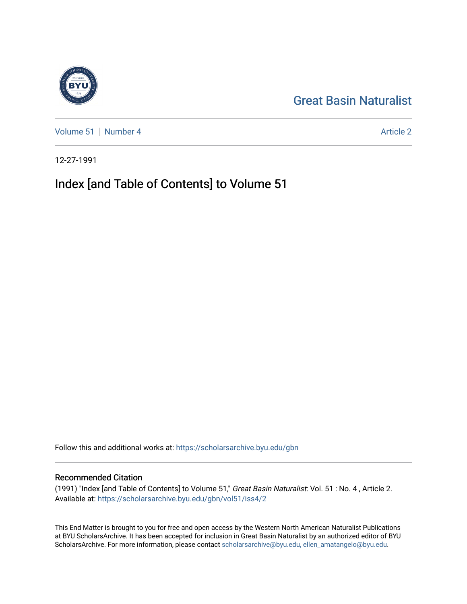# [Great Basin Naturalist](https://scholarsarchive.byu.edu/gbn)

[Volume 51](https://scholarsarchive.byu.edu/gbn/vol51) [Number 4](https://scholarsarchive.byu.edu/gbn/vol51/iss4) Article 2

12-27-1991

# Index [and Table of Contents] to Volume 51

Follow this and additional works at: [https://scholarsarchive.byu.edu/gbn](https://scholarsarchive.byu.edu/gbn?utm_source=scholarsarchive.byu.edu%2Fgbn%2Fvol51%2Fiss4%2F2&utm_medium=PDF&utm_campaign=PDFCoverPages) 

### Recommended Citation

(1991) "Index [and Table of Contents] to Volume 51," Great Basin Naturalist: Vol. 51 : No. 4 , Article 2. Available at: [https://scholarsarchive.byu.edu/gbn/vol51/iss4/2](https://scholarsarchive.byu.edu/gbn/vol51/iss4/2?utm_source=scholarsarchive.byu.edu%2Fgbn%2Fvol51%2Fiss4%2F2&utm_medium=PDF&utm_campaign=PDFCoverPages)

This End Matter is brought to you for free and open access by the Western North American Naturalist Publications at BYU ScholarsArchive. It has been accepted for inclusion in Great Basin Naturalist by an authorized editor of BYU ScholarsArchive. For more information, please contact [scholarsarchive@byu.edu, ellen\\_amatangelo@byu.edu.](mailto:scholarsarchive@byu.edu,%20ellen_amatangelo@byu.edu)

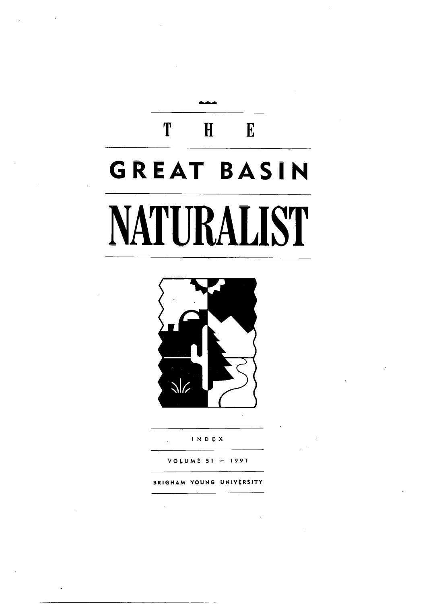# T H E **GREAT BASIN NATURALIST**



I N 0 E X

VObUME 51 1991

BRIGHAM YOUNG UNIVERSITY

l.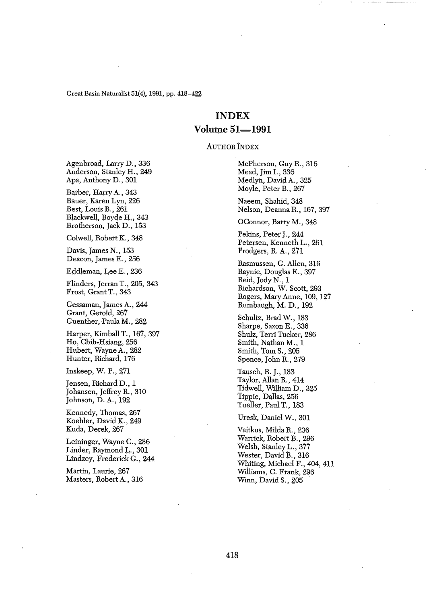# **INDEX**  $Volume 51 - 1991$

AUTHOR INDEX

Agenbroad, Larry D., 336 Anderson, Stanley H., 249 Apa, Anthony D., 301

Barber, Harry A., 343 Bauer, Karen Lyn, 226 Best, Louis B., 261 Blackwell, Boyde H., 343 Brotherson, Jack D., 153

Colwell, Robert K., 348

Davis, James N., 153 Deacon, James E., 256

Eddleman, Lee E., 236

Flinders, Jerran T., 205, 343 Frost, GrantT., 343

Gessaman, James A., 244 Grant, Gerold, 267 Guenther, Paula M., 282

Harper, Kimball T., 167, 397 Ho, Chih~Hsiang, 256 Hubert, Wayne A., 282 Hunter, Richard, 176

Inskeep, W. P., 271

Jensen, Richard D., 1 Johansen, Jeffrey R, 310 Johnson, D. A., 192

Kennedy, Thomas, 267 Koehler, David K., 249 Kuda, Derek, 267

Leininger, Wayne C., 286 Linder, Raymond L., 301 Lindzey, Frederick G., 244

Martin, Laurie, 267 Masters, RobertA., 316 McPherson, Guy R, 316 Mead, Jim I., 336 Medlyn, David A., 325 Moyle, Peter B., 267

Naeem, Shahid, 348 Nelson, DeannaR, 167,397

OConnor, Barty M., 348

Pekins, Peter J., 244 Petersen, Kenneth L., 261 Prodgers, R. A., 271

Rasmussen, G. Allen, 316 Raynie, Douglas E., 397 Reid, JodyN., 1 Richardson, W. Scott, 293 Rogers, Mary Anne, 109, 127 Rumbaugh, M. D., 192

Schultz, Brad W., 183 Sharpe, Saxon E., 336 Shulz, Terri Tucker, 286 Smith, Nathan M., 1 Smith, *Tom* S., 205 Spence, John R, 279

Tausch, R. J., 183 Taylor, Allan R, 414 Tidwell, William D., 325 Tippie, Dallas, 256 Tueller, Paul T., 183

Uresk, Daniel W., 301

Vaitkus, MildaR, 236 Warrick, Robert B., 296 Welsh, Stanley L., 377 Wester, David B., 316 Whiting, Michael F., 404, 411 Wiiliams, C. Frank, 296 Winn, David S., 205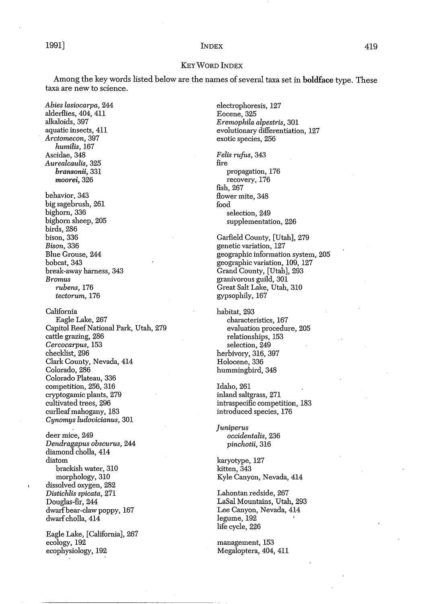### 1991] INDEX 419

#### KEyWORD INDEX

Among the key words listed below are the names of several taxa set in boldface type. These taxa are new to science.

*Abies lasiocarpa, 244* alderflies, 404, 411 alkaloids, 397 aquatic insects, 411 *Arctomecon, 397 humilis, 167* AScidae, 348 *Aurealcaulis,325 bransonii,331 moorei,326* behavior, 343 big sagebrush, 261 bighorn, 336 bighorn sheep, 205 birds, 286 bison, 336 *Bison,* 336 Blue Grouse, 244 bobcat, 343 break-away harness, 343 *Bromus rubens,* 176 *tectorum, 176* California Eagle Lake, 267 Capitol ReefNational Park, Utah, 279 cattle grazing, 286 *Cercocarpus,153* checklist, 296 Clark County, Nevada, 414 Colorado, 286 Colorado Plateau, 336 competition, 256, 316 cryptogamic plants, 279 cultivated trees, 296 curlleafmahogany, l83 *Cynomys ludovicianus, 301* deer mice, 249 *Dendragapus obscurus, 244* diamond cholla, 414 diatom brackish water, 310 morphology, 310 dissolved oxygen, 282 *Distichlis spicata, 211*

Douglas-fir, 244 dwarfbear-claw poppy, 167 dwarf cholla, 414

Eagle Lake, [California], 261 ecology, 192 ecophysiology, 192

electrophoresis, 127 Eocene, 325 *Eremophila alpestris, 301* evolutionary differentiation, 127 exotic species, 256

*Felis rufus, 343* fire propagation, 176 recovery, 176 fish, 267 flower mite, 348 food selection, 249 supplementation, 226

Garfield County, [Utah], 279 genetic variation, 127 geographic information system, 205 geographic variation, 109, 127 Grand County, [Utah], 293 granivorous guild, 301 Great Salt Lake, Utah, 310 gypsophily, 167

habitat, 293 characteristics, 167 evaluation procedure, 205 relationships, 153 selection, 249 herbivory, 316, 397 Holocene, 336 hummingbird, 348

Idaho, 261 inland saltgrass, 271 intraspecific competition, 183 introduced species, 176

*Juniperus occidentalis, 236 pinchotii, 316*

karyotype, 121 kitten, 343 Kyle Canyon, Nevada, 414

Lahontan redside, 267 LaSal Mountains, Utah, 293 Lee Canyon, Nevada, 414 legume, 192 life cycle, 226

management, 153 Megaloptera, 404, 411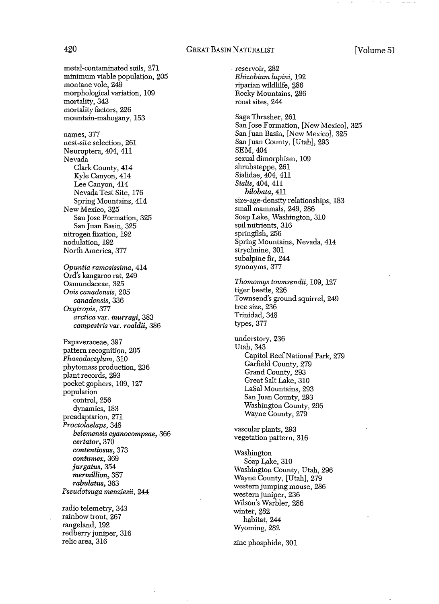#### 420 GREAT BASIN NATURALIST [Volume 51

metal-contaminated soils, 271 minimum viable population, 205 montane vole, 249 morphological variation, 109 mortality, 343 mortality factors, 226 mountain-mahogany, 153 names, 377 nest-site selection, 261 Neuroptera, 404, 411 Nevada Clark County, 414 Kyle Canyon, 414 Lee Canyon, 414 Nevada Test Site, 176 Spring Mountains, 414 New Mexico, 325 San Jose Formation, 325 San Juan Basin, 325 nitrogen fixation, 192 nodulation, 192 North America, 377 *Opuntia ramosissima, 4:1.4* Ord's kangaroo rat, 249 Osmundaceae, 325 *Ovis canadensis, 205 canadensis, 336 Oxytropis,377 arctica* var. *murrayi, 383 campestris* var. *roaldii, 386* Papaveraceae, 397 pattern recognition, 205 *Phaeodactylum, 310* phytomass production, 236 plant records, 293 pocket gophers, 109, 127 population control, 256 dynamics, 183 pteadaptation, 271 *Proctolaelaps, 348 belemensis cyanocompsae, 366 certator,370 contentiosus, 373 contumex, 369 jurgatus,354 mermillion, 357 rabulatus,363 Pseudotsuga menz.iesii, 244* radio telemetry, 343 rainbow trout, 267 rangeland, 192

redberryjuniper, 316 relic area, 316

reservoir, 282 *Rhizobium lupini, 192* riparian wildlilfe, 286 Rocky Mountains, 286 roost sites, 244 Sage Thrasher, 261 San Jose Formation, [New Mexico], 325 San Juan Basin, [New Mexico], 325 San Juan County, [Utah], 293 SEM,404 sexual dimorphism, 109 shrubsteppe, 261 Sialidae, 404, 411 *Sialis,* 404, 411 *bilobata, 411* size-age-density relationships, 183 small mammals, 249, 286 Soap Lake, Washington, 310 soil nutrients, 316 springfish, 256 Spring Mountains, Nevada, 414 strychnine, 301 subalpine fir, 244 synonyms, 377 *Thomomys townsendii,* 109, 127 tiger beetle, 226 Townsend's ground squirrel, 249 tree size, 236 Trinidad, 348 types, 377 understory, 236 Utah, 343 Capitol Reef National Park, 279 Garfield County, 279 Grand County, 293 Great Salt Lake, 310 LaSal Mountains, 293 San Juan County, 293 Washington County, 296 Wayne County, 279 vascular plants, 293 vegetation pattern, 316 Washington Soap Lake, 310 Washington County, Utah, 296 Wayne County, [Utah], 279 Western jumping mouse, 286 western juniper, 236 Wilson's Warbler, 286 winter, 282 habitat, 244 Wyoming, 282 zinc phosphide, 301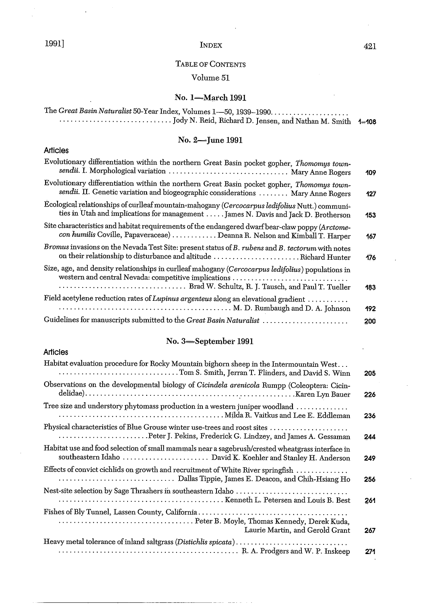# 1991] INDEX

## TABLE OF CONTENTS

# Volume 51

# No. 1-March 1991

| The Great Basin Naturalist 50-Year Index, Volumes 1-50, 1939-1990                                                                                                                     | 1-108 |
|---------------------------------------------------------------------------------------------------------------------------------------------------------------------------------------|-------|
| No. 2-June 1991                                                                                                                                                                       |       |
| <b>Articles</b>                                                                                                                                                                       |       |
| Evolutionary differentiation within the northern Great Basin pocket gopher, Thomomys town-<br>sendii. I. Morphological variation  Mary Anne Rogers                                    | 109   |
| Evolutionary differentiation within the northern Great Basin pocket gopher, Thomomys town-<br>sendii. II. Genetic variation and biogeographic considerations  Mary Anne Rogers        | 127   |
| Ecological relationships of curlleaf mountain-mahogany (Cercocarpus ledifolius Nutt.) communi-<br>ties in Utah and implications for management  James N. Davis and Jack D. Brotherson | 153   |
| Site characteristics and habitat requirements of the endangered dwarf bear-claw poppy (Arctome-<br>con humilis Coville, Papaveraceae)  Deanna R. Nelson and Kimball T. Harper         | 167   |
| Bromus invasions on the Nevada Test Site: present status of B. rubens and B. tectorum with notes<br>on their relationship to disturbance and altitude Richard Hunter                  | 176   |
| Size, age, and density relationships in curlleaf mahogany (Cercocarpus ledifolius) populations in<br>western and central Nevada: competitive implications                             | 183   |
| Field acetylene reduction rates of Lupinus argenteus along an elevational gradient<br>M. D. Rumbaugh and D. A. Johnson                                                                | 192   |
| Guidelines for manuscripts submitted to the Great Basin Naturalist                                                                                                                    | 200   |

# No. 3-September 1991

#### Articles

| Habitat evaluation procedure for Rocky Mountain bighorn sheep in the Intermountain West                                                  | 205 |
|------------------------------------------------------------------------------------------------------------------------------------------|-----|
| Observations on the developmental biology of Cicindela arenicola Rumpp (Coleoptera: Cicin-                                               | 226 |
| Tree size and understory phytomass production in a western juniper woodland                                                              | 236 |
| Physical characteristics of Blue Grouse winter use-trees and roost sites<br>Peter J. Pekins, Frederick G. Lindzey, and James A. Gessaman | 244 |
| Habitat use and food selection of small mammals near a sagebrush/crested wheatgrass interface in                                         | 249 |
| Effects of convict cichlids on growth and recruitment of White River springfish                                                          | 256 |
| Nest-site selection by Sage Thrashers in southeastern Idaho                                                                              | 261 |
| Laurie Martin, and Gerold Grant                                                                                                          | 267 |
| Heavy metal tolerance of inland saltgrass (Distichlis spicata)                                                                           | 271 |

 $\ddot{\phantom{a}}$ 

 $\bar{z}$